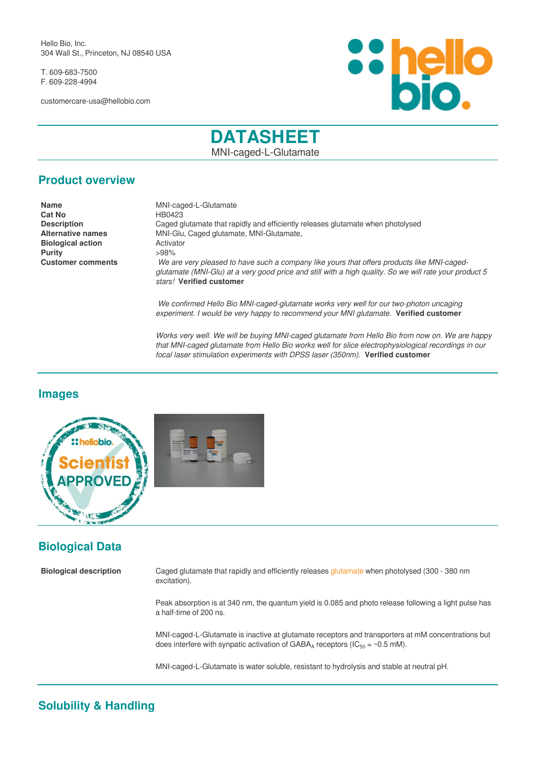Hello Bio, Inc. 304 Wall St., Princeton, NJ 08540 USA

T. 609-683-7500 F. 609-228-4994

customercare-usa@hellobio.com



# **DATASHEET**

MNI-caged-L-Glutamate

### **Product overview**

**Cat No** HB0423 **Biological action Activator Purity** >98%

**Name** MNI-caged-L-Glutamate **Description** Caged glutamate that rapidly and efficiently releases glutamate when photolysed **Alternative names** MNI-Glu, Caged glutamate, MNI-Glutamate, **Customer comments** *We are very pleased to have such a company like yours that offers products like MNI-cagedglutamate (MNI-Glu) at a very good price and still with a high quality. So we will rate your product 5 stars!* **Verified customer**

> *We confirmed Hello Bio MNI-caged-glutamate works very well for our two-photon uncaging experiment. I would be very happy to recommend your MNI glutamate.* **Verified customer**

*Works very well. We will be buying MNI-caged glutamate from Hello Bio from now on. We are happy that MNI-caged glutamate from Hello Bio works well for slice electrophysiological recordings in our focal laser stimulation experiments with DPSS laser (350nm).* **Verified customer**

#### **Images**





## **Biological Data**

**Biological description** Caged glutamate that rapidly and efficiently releases [glutamate](lglutamate.html) when photolysed (300 - 380 nm excitation).

> Peak absorption is at 340 nm, the quantum yield is 0.085 and photo release following a light pulse has a half-time of 200 ns.

> MNI-caged-L-Glutamate is inactive at glutamate receptors and transporters at mM concentrations but does interfere with synpatic activation of GABA<sub>A</sub> receptors (IC<sub>50</sub> = ~0.5 mM).

MNI-caged-L-Glutamate is water soluble, resistant to hydrolysis and stable at neutral pH.

## **Solubility & Handling**